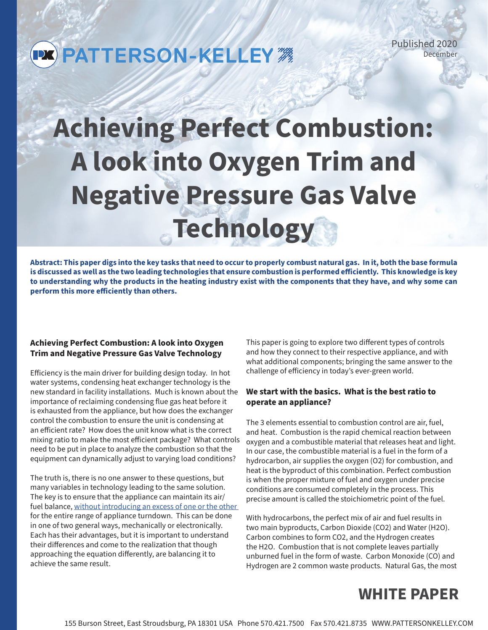# **PX PATTERSON-KELLEY**

Published 2020 December

# **Achieving Perfect Combustion: A look into Oxygen Trim and Negative Pressure Gas Valve Technology**

**Abstract: This paper digs into the key tasks that need to occur to properly combust natural gas. In it, both the base formula is discussed as well as the two leading technologies that ensure combustion is performed efficiently. This knowledge is key to understanding why the products in the heating industry exist with the components that they have, and why some can perform this more efficiently than others.** 

#### **Achieving Perfect Combustion: A look into Oxygen Trim and Negative Pressure Gas Valve Technology**

Efficiency is the main driver for building design today. In hot water systems, condensing heat exchanger technology is the new standard in facility installations. Much is known about the importance of reclaiming condensing flue gas heat before it is exhausted from the appliance, but how does the exchanger control the combustion to ensure the unit is condensing at an efficient rate? How does the unit know what is the correct mixing ratio to make the most efficient package? What controls need to be put in place to analyze the combustion so that the equipment can dynamically adjust to varying load conditions?

The truth is, there is no one answer to these questions, but many variables in technology leading to the same solution. The key is to ensure that the appliance can maintain its air/ fuel balance, without introducing an excess of one or the other for the entire range of appliance turndown. This can be done in one of two general ways, mechanically or electronically. Each has their advantages, but it is important to understand their differences and come to the realization that though approaching the equation differently, are balancing it to achieve the same result.

This paper is going to explore two different types of controls and how they connect to their respective appliance, and with what additional components; bringing the same answer to the challenge of efficiency in today's ever-green world.

#### **We start with the basics. What is the best ratio to operate an appliance?**

The 3 elements essential to combustion control are air, fuel, and heat. Combustion is the rapid chemical reaction between oxygen and a combustible material that releases heat and light. In our case, the combustible material is a fuel in the form of a hydrocarbon, air supplies the oxygen (O2) for combustion, and heat is the byproduct of this combination. Perfect combustion is when the proper mixture of fuel and oxygen under precise conditions are consumed completely in the process. This precise amount is called the stoichiometric point of the fuel.

With hydrocarbons, the perfect mix of air and fuel results in two main byproducts, Carbon Dioxide (CO2) and Water (H2O). Carbon combines to form CO2, and the Hydrogen creates the H2O. Combustion that is not complete leaves partially unburned fuel in the form of waste. Carbon Monoxide (CO) and Hydrogen are 2 common waste products. Natural Gas, the most

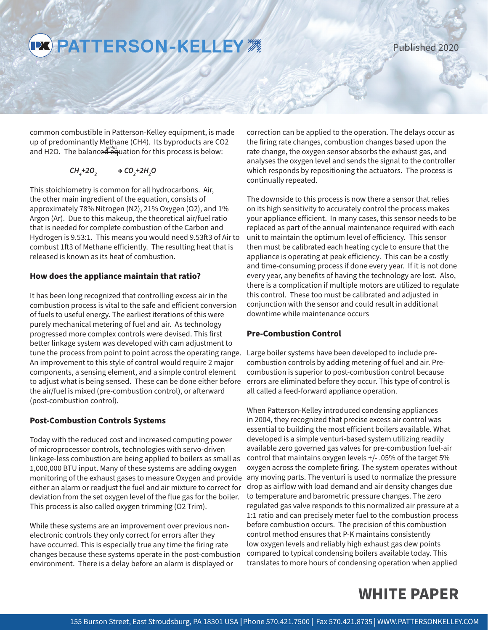PX PATTERSON-KELLEY #

Published 2020

common combustible in Patterson-Kelley equipment, is made up of predominantly Methane (CH4). Its byproducts are CO2 and H2O. The balanced equation for this process is below:

$$
CH_4 + 2O_2 \longrightarrow CO_2 + 2H_2O
$$

This stoichiometry is common for all hydrocarbons. Air, the other main ingredient of the equation, consists of approximately 78% Nitrogen (N2), 21% Oxygen (O2), and 1% Argon (Ar). Due to this makeup, the theoretical air/fuel ratio that is needed for complete combustion of the Carbon and Hydrogen is 9.53:1. This means you would need 9.53ft3 of Air to combust 1ft3 of Methane efficiently. The resulting heat that is released is known as its heat of combustion.

#### **How does the appliance maintain that ratio?**

It has been long recognized that controlling excess air in the combustion process is vital to the safe and efficient conversion of fuels to useful energy. The earliest iterations of this were purely mechanical metering of fuel and air. As technology progressed more complex controls were devised. This first better linkage system was developed with cam adjustment to tune the process from point to point across the operating range. An improvement to this style of control would require 2 major components, a sensing element, and a simple control element to adjust what is being sensed. These can be done either before the air/fuel is mixed (pre-combustion control), or afterward (post-combustion control).

#### **Post-Combustion Controls Systems**

Today with the reduced cost and increased computing power of microprocessor controls, technologies with servo-driven linkage-less combustion are being applied to boilers as small as 1,000,000 BTU input. Many of these systems are adding oxygen monitoring of the exhaust gases to measure Oxygen and provide either an alarm or readjust the fuel and air mixture to correct for deviation from the set oxygen level of the flue gas for the boiler. This process is also called oxygen trimming (O2 Trim).

While these systems are an improvement over previous nonelectronic controls they only correct for errors after they have occurred. This is especially true any time the firing rate changes because these systems operate in the post-combustion environment. There is a delay before an alarm is displayed or

correction can be applied to the operation. The delays occur as the firing rate changes, combustion changes based upon the rate change, the oxygen sensor absorbs the exhaust gas, and analyses the oxygen level and sends the signal to the controller which responds by repositioning the actuators. The process is continually repeated.

The downside to this process is now there a sensor that relies on its high sensitivity to accurately control the process makes your appliance efficient. In many cases, this sensor needs to be replaced as part of the annual maintenance required with each unit to maintain the optimum level of efficiency. This sensor then must be calibrated each heating cycle to ensure that the appliance is operating at peak efficiency. This can be a costly and time-consuming process if done every year. If it is not done every year, any benefits of having the technology are lost. Also, there is a complication if multiple motors are utilized to regulate this control. These too must be calibrated and adjusted in conjunction with the sensor and could result in additional downtime while maintenance occurs

#### **Pre-Combustion Control**

Large boiler systems have been developed to include precombustion controls by adding metering of fuel and air. Precombustion is superior to post-combustion control because errors are eliminated before they occur. This type of control is all called a feed-forward appliance operation.

When Patterson-Kelley introduced condensing appliances in 2004, they recognized that precise excess air control was essential to building the most efficient boilers available. What developed is a simple venturi-based system utilizing readily available zero governed gas valves for pre-combustion fuel-air control that maintains oxygen levels +/- .05% of the target 5% oxygen across the complete firing. The system operates without any moving parts. The venturi is used to normalize the pressure drop as airflow with load demand and air density changes due to temperature and barometric pressure changes. The zero regulated gas valve responds to this normalized air pressure at a 1:1 ratio and can precisely meter fuel to the combustion process before combustion occurs. The precision of this combustion control method ensures that P-K maintains consistently low oxygen levels and reliably high exhaust gas dew points compared to typical condensing boilers available today. This translates to more hours of condensing operation when applied

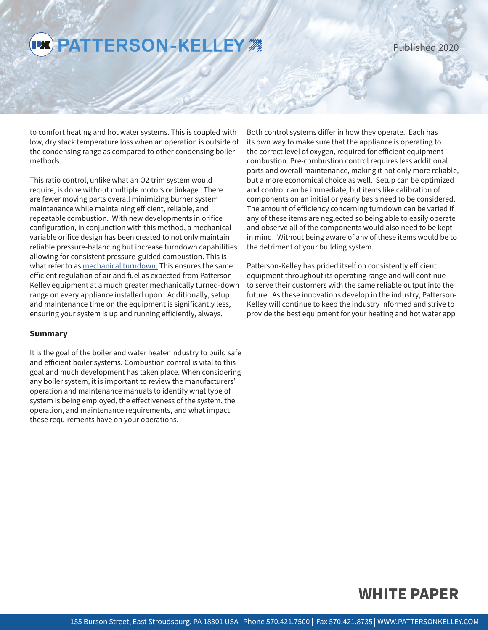## **PX PATTERSON-KELLEY MARK**

Published 2020

to comfort heating and hot water systems. This is coupled with low, dry stack temperature loss when an operation is outside of the condensing range as compared to other condensing boiler methods.

This ratio control, unlike what an O2 trim system would require, is done without multiple motors or linkage. There are fewer moving parts overall minimizing burner system maintenance while maintaining efficient, reliable, and repeatable combustion. With new developments in orifice configuration, in conjunction with this method, a mechanical variable orifice design has been created to not only maintain reliable pressure-balancing but increase turndown capabilities allowing for consistent pressure-guided combustion. This is what refer to as mechanical turndown. This ensures the same efficient regulation of air and fuel as expected from Patterson-Kelley equipment at a much greater mechanically turned-down range on every appliance installed upon. Additionally, setup and maintenance time on the equipment is significantly less, ensuring your system is up and running efficiently, always.

#### **Summary**

It is the goal of the boiler and water heater industry to build safe and efficient boiler systems. Combustion control is vital to this goal and much development has taken place. When considering any boiler system, it is important to review the manufacturers' operation and maintenance manuals to identify what type of system is being employed, the effectiveness of the system, the operation, and maintenance requirements, and what impact these requirements have on your operations.

Both control systems differ in how they operate. Each has its own way to make sure that the appliance is operating to the correct level of oxygen, required for efficient equipment combustion. Pre-combustion control requires less additional parts and overall maintenance, making it not only more reliable, but a more economical choice as well. Setup can be optimized and control can be immediate, but items like calibration of components on an initial or yearly basis need to be considered. The amount of efficiency concerning turndown can be varied if any of these items are neglected so being able to easily operate and observe all of the components would also need to be kept in mind. Without being aware of any of these items would be to the detriment of your building system.

Patterson-Kelley has prided itself on consistently efficient equipment throughout its operating range and will continue to serve their customers with the same reliable output into the future. As these innovations develop in the industry, Patterson-Kelley will continue to keep the industry informed and strive to provide the best equipment for your heating and hot water app

### **WHITE PAPER**